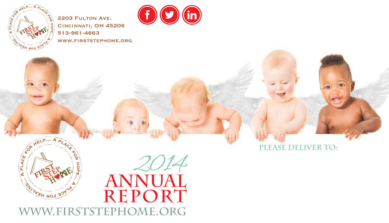

2203 FULTON AVE. Cincinnati, OH 45206 513-961-4663 www.firststephome.org



**Please deliver to:** *Francisco Baby - 15 cm and 15 cm and 15 cm and 15 cm and 15 cm and 15 cm and 16 cm and 16 cm and 16 cm and 16 cm and 16 cm and 16 cm and 16 cm and 16 cm and 16 cm and 16 cm and 16 cm and 16 cm and 16 cm and 16 cm and 16* compared baby research

**istock**

**sign babies- 35 cred**



**Annual Report** 2014

**www.firststephome.org**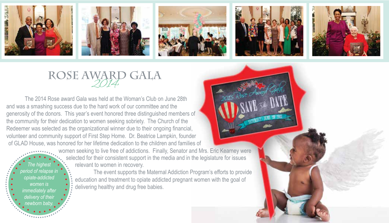









### ROSE AWARD GALA

 The 2014 Rose award Gala was held at the Woman's Club on June 28th and was a smashing success due to the hard work of our committee and the generosity of the donors. This year's event honored three distinguished members of the community for their dedication to women seeking sobriety. The Church of the Redeemer was selected as the organizational winner due to their ongoing financial, volunteer and community support of First Step Home. Dr. Beatrice Lampkin, founder of GLAD House, was honored for her lifetime dedication to the children and families of

*The highest period of relapse in opiate-addicted women is immediately after delivery of their newborn baby.*

women seeking to live free of addictions. Finally, Senator and Mrs. Eric Kearney were selected for their consistent support in the media and in the legislature for issues relevant to women in recovery.

 The event supports the Maternal Addiction Program's efforts to provide education and treatment to opiate addicted pregnant women with the goal of delivering healthy and drug free babies.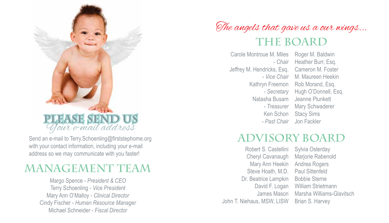

with your contact information, including your e-mail address so we may communicate with you faster!

#### **Management Team**

Margo Spence - *President & CEO* Terry Schoenling - *Vice President* Mary Ann O'Malloy - *Clinical Director* Cindy Fischer - *Human Resource Manager* Michael Schneider - *Fiscal Director*

### The angels that gave us a our wings... **The Board**

Carole Montroue M. Miles *- Chair* Jeffrey M. Hendricks, Esq. *- Secretary* Natasha Busam Ken Schon *- Past Chair*

Roger M. Baldwin Heather Burr, Esq. Cameron M. Foster - Vice Chair M. Maureen Heekin Kathryn Freemon Rob Morand, Esq. Hugh O'Donnell, Esq. Jeanne Plunkett - Treasurer Mary Schwaderer Stacy Sims Jon Fackler

### Send an e-mail to Terry.Schoenling@firststephome.org **ADVISORY BOARD**

Steve Hoath, M.D. Paul Sittenfeld Robert S. Castellini Cheryl Cavanaugh Mary Ann Heekin Dr. Beatrice Lampkin David F. Logan James Mason John T. Niehaus, MSW, LISW

Sylvia Osterday Marjorie Rabenold Andrea Rogers Bobbie Sterne William Strietmann Marsha Williams-Glavitsch Brian S. Harvey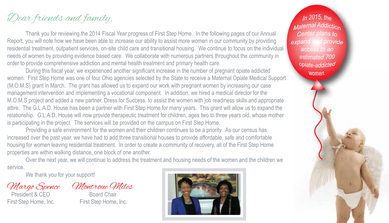#### Dear friends and family,

 Thank you for reviewing the 2014 Fiscal Year progress of First Step Home. In the following pages of our Annual Report, you will note how we have been able to increase our ability to assist more women in our community by providing residential treatment, outpatient services, on-site child care and transitional housing. We continue to focus on the individual needs of women by providing evidence based care. We collaborate with numerous partners throughout the community in order to provide comprehensive addiction and mental health treatment and primary health care.

 During this fiscal year, we experienced another significant increase in the number of pregnant opiate addicted women. First Step Home was one of four Ohio agencies selected by the State to receive a Maternal Opiate Medical Support (M.O.M.S) grant in March. The grant has allowed us to expand our work with pregnant women by increasing our case management intervention and implementing a vocational component. In addition, we hired a medical director for the M.O.M.S project and added a new partner, Dress for Success, to assist the women with job readiness skills and appropriate attire. The G.L.A.D. House has been a partner with First Step Home for many years. This grant will allow us to expand the relationship. G.L.A.D. House will now provide therapeutic treatment for children, ages two to three years old, whose mother is participating in the project. The services will be provided on the campus on First Step Home.

 Providing a safe environment for the women and their children continues to be a priority. As our census has increased over the past year, we have had to add three transitional houses to provide affordable, safe and comfortable housing for women leaving residential treatment. In order to create a community of recovery, all of the First Step Home properties are within walking distance, one block of one another.

 Over the next year, we will continue to address the treatment and housing needs of the women and the children we service.

We thank you for your support!

President & CFO First Step Home, Inc. First Step Home, Inc.

*Margo Spence Montroue Miles*<br>President & CFO Board Chair



*In 2015*, the *Maternal Addiction* Center plans to expand and provide access to an estimated 700 opiate-addicted women.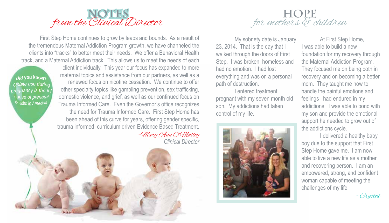

 First Step Home continues to grow by leaps and bounds. As a result of the tremendous Maternal Addiction Program growth, we have channeled the clients into "tracks" to better meet their needs. We offer a Behavioral Health track, and a Maternal Addiction track. This allows us to meet the needs of each

*nid* you knows Opiate use during pregnancy is the #1 cause of prenatal deaths in America.

client individually. This year our focus has expanded to more maternal topics and assistance from our partners, as well as a renewed focus on nicotine cessation. We continue to offer other specialty topics like gambling prevention, sex trafficking, domestic violence, and grief, as well as our continued focus on Trauma Informed Care. Even the Governor's office recognizes the need for Trauma Informed Care. First Step Home has been ahead of this curve for years, offering gender specific, trauma informed, curriculum driven Evidence Based Treatment.

-Mary Ann O'Malloy *Clinical Director*



 My sobriety date is January 23, 2014. That is the day that I walked through the doors of First Step. I was broken, homeless and had no emotion. I had lost everything and was on a personal path of destruction.

 I entered treatment pregnant with my seven month old son. My addictions had taken control of my life.



 At First Step Home, I was able to build a new foundation for my recovery through the Maternal Addiction Program. They focused me on being both in recovery and on becoming a better mom. They taught me how to handle the painful emotions and feelings I had endured in my addictions. I was able to bond with my son and provide the emotional support he needed to grow out of the addictions cycle.

 I delivered a healthy baby boy due to the support that First Step Home gave me. I am now able to live a new life as a mother and recovering person. I am an empowered, strong, and confident woman capable of meeting the challenges of my life.

- Crystal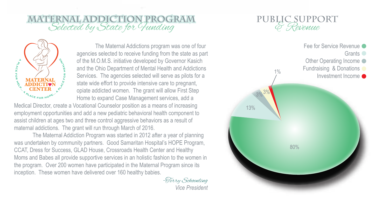# **MATERNAL ADDICTION PROGRAM**<br>Selected by State for *Hunding*



 The Maternal Addictions program was one of four agencies selected to receive funding from the state as part of the M.O.M.S. initiative developed by Governor Kasich and the Ohio Department of Mental Health and Addictions Services. The agencies selected will serve as pilots for a state wide effort to provide intensive care to pregnant, opiate addicted women. The grant will allow First Step Home to expand Case Management services, add a

Medical Director, create a Vocational Counselor position as a means of increasing employment opportunities and add a new pediatric behavioral health component to assist children at ages two and three control aggressive behaviors as a result of maternal addictions. The grant will run through March of 2016.

 The Maternal Addiction Program was started in 2012 after a year of planning was undertaken by community partners. Good Samaritan Hospital's HOPE Program, CCAT, Dress for Success, GLAD House, Crossroads Health Center and Healthy Moms and Babes all provide supportive services in an holistic fashion to the women in the program. Over 200 women have participated in the Maternal Program since its inception. These women have delivered over 160 healthy babies.

> -Terry Schoenling  *Vice President*



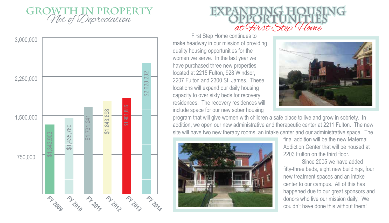





 First Step Home continues to make headway in our mission of providing quality housing opportunities for the women we serve. In the last year we have purchased three new properties located at 2215 Fulton, 928 Windsor, 2207 Fulton and 2300 St. James. These locations will expand our daily housing capacity to over sixty beds for recovery residences. The recovery residences will include space for our new sober housing



program that will give women with children a safe place to live and grow in sobriety. In addition, we open our new administrative and therapeutic center at 2211 Fulton. The new site will have two new therapy rooms, an intake center and our administrative space. The



final addition will be the new Maternal Addiction Center that will be housed at 2203 Fulton on the third floor

 Since 2005 we have added fifty-three beds, eight new buildings, four new treatment spaces and an intake center to our campus. All of this has happened due to our great sponsors and donors who live our mission daily. We couldn't have done this without them!